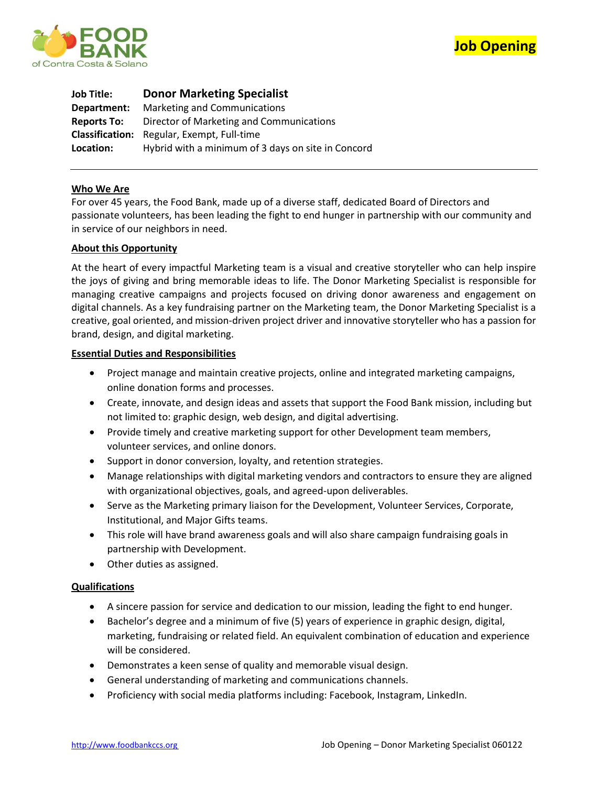



| <b>Job Title:</b>  | <b>Donor Marketing Specialist</b>                  |
|--------------------|----------------------------------------------------|
| Department:        | Marketing and Communications                       |
| <b>Reports To:</b> | Director of Marketing and Communications           |
|                    | <b>Classification:</b> Regular, Exempt, Full-time  |
| Location:          | Hybrid with a minimum of 3 days on site in Concord |

### **Who We Are**

For over 45 years, the Food Bank, made up of a diverse staff, dedicated Board of Directors and passionate volunteers, has been leading the fight to end hunger in partnership with our community and in service of our neighbors in need.

### **About this Opportunity**

At the heart of every impactful Marketing team is a visual and creative storyteller who can help inspire the joys of giving and bring memorable ideas to life. The Donor Marketing Specialist is responsible for managing creative campaigns and projects focused on driving donor awareness and engagement on digital channels. As a key fundraising partner on the Marketing team, the Donor Marketing Specialist is a creative, goal oriented, and mission-driven project driver and innovative storyteller who has a passion for brand, design, and digital marketing.

### **Essential Duties and Responsibilities**

- Project manage and maintain creative projects, online and integrated marketing campaigns, online donation forms and processes.
- Create, innovate, and design ideas and assets that support the Food Bank mission, including but not limited to: graphic design, web design, and digital advertising.
- Provide timely and creative marketing support for other Development team members, volunteer services, and online donors.
- Support in donor conversion, loyalty, and retention strategies.
- Manage relationships with digital marketing vendors and contractors to ensure they are aligned with organizational objectives, goals, and agreed-upon deliverables.
- Serve as the Marketing primary liaison for the Development, Volunteer Services, Corporate, Institutional, and Major Gifts teams.
- This role will have brand awareness goals and will also share campaign fundraising goals in partnership with Development.
- Other duties as assigned.

# **Qualifications**

- A sincere passion for service and dedication to our mission, leading the fight to end hunger.
- Bachelor's degree and a minimum of five (5) years of experience in graphic design, digital, marketing, fundraising or related field. An equivalent combination of education and experience will be considered.
- Demonstrates a keen sense of quality and memorable visual design.
- General understanding of marketing and communications channels.
- Proficiency with social media platforms including: Facebook, Instagram, LinkedIn.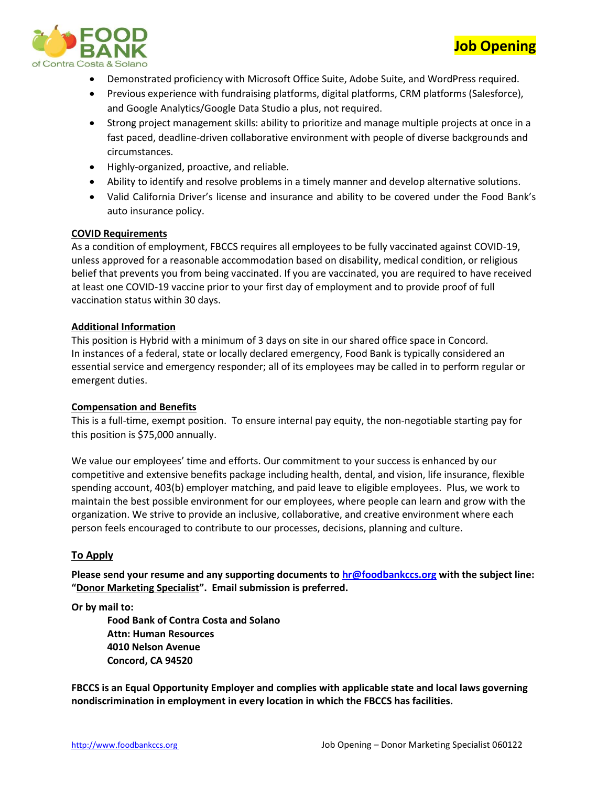

• Demonstrated proficiency with Microsoft Office Suite, Adobe Suite, and WordPress required.

**Job Opening**

- Previous experience with fundraising platforms, digital platforms, CRM platforms (Salesforce), and Google Analytics/Google Data Studio a plus, not required.
- Strong project management skills: ability to prioritize and manage multiple projects at once in a fast paced, deadline-driven collaborative environment with people of diverse backgrounds and circumstances.
- Highly-organized, proactive, and reliable.
- Ability to identify and resolve problems in a timely manner and develop alternative solutions.
- Valid California Driver's license and insurance and ability to be covered under the Food Bank's auto insurance policy.

# **COVID Requirements**

As a condition of employment, FBCCS requires all employees to be fully vaccinated against COVID-19, unless approved for a reasonable accommodation based on disability, medical condition, or religious belief that prevents you from being vaccinated. If you are vaccinated, you are required to have received at least one COVID-19 vaccine prior to your first day of employment and to provide proof of full vaccination status within 30 days.

# **Additional Information**

This position is Hybrid with a minimum of 3 days on site in our shared office space in Concord. In instances of a federal, state or locally declared emergency, Food Bank is typically considered an essential service and emergency responder; all of its employees may be called in to perform regular or emergent duties.

# **Compensation and Benefits**

This is a full-time, exempt position. To ensure internal pay equity, the non-negotiable starting pay for this position is \$75,000 annually.

We value our employees' time and efforts. Our commitment to your success is enhanced by our competitive and extensive benefits package including health, dental, and vision, life insurance, flexible spending account, 403(b) employer matching, and paid leave to eligible employees. Plus, we work to maintain the best possible environment for our employees, where people can learn and grow with the organization. We strive to provide an inclusive, collaborative, and creative environment where each person feels encouraged to contribute to our processes, decisions, planning and culture.

# **To Apply**

**Please send your resume and any supporting documents t[o hr@foodbankccs.org](mailto:hr@foodbankccs.org) with the subject line: "Donor Marketing Specialist". Email submission is preferred.**

**Or by mail to:** 

**Food Bank of Contra Costa and Solano Attn: Human Resources 4010 Nelson Avenue Concord, CA 94520**

**FBCCS is an Equal Opportunity Employer and complies with applicable state and local laws governing nondiscrimination in employment in every location in which the FBCCS has facilities.**